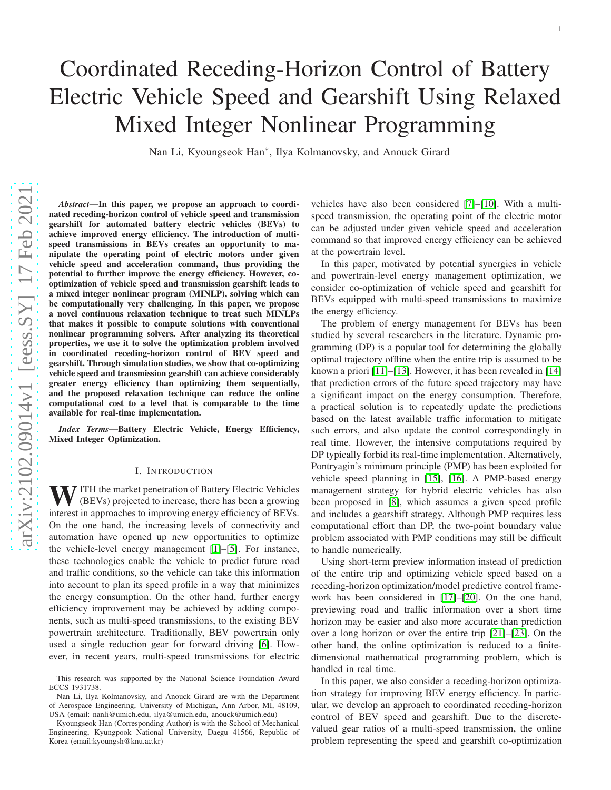# Coordinated Receding-Horizon Control of Battery Electric Vehicle Speed and Gearshift Using Relaxed Mixed Integer Nonlinear Programming

Nan Li, Kyoungseok Han ∗ , Ilya Kolmanovsky, and Anouck Girard

*Abstract*—In this paper, we propose an approach to coordinated receding-horizon control of vehicle speed and transmission gearshift for automated battery electric vehicles (BEVs) t o achieve improved energy efficiency. The introduction of multispeed transmissions in BEVs creates an opportunity to manipulate the operating point of electric motors under given vehicle speed and acceleration command, thus providing the potential to further improve the energy efficiency. However, cooptimization of vehicle speed and transmission gearshift leads to a mixed integer nonlinear program (MINLP), solving which ca n be computationally very challenging. In this paper, we propose a novel continuous relaxation technique to treat such MINLP s that makes it possible to compute solutions with conventional nonlinear programming solvers. After analyzing its theoretical properties, we use it to solve the optimization problem involved in coordinated receding-horizon control of BEV speed and gearshift. Through simulation studies, we show that co-optimizing vehicle speed and transmission gearshift can achieve considerably greater energy efficiency than optimizing them sequentially, and the proposed relaxation technique can reduce the online computational cost to a level that is comparable to the time available for real-time implementation.

*Index Terms*—Battery Electric Vehicle, Energy Efficiency, Mixed Integer Optimization.

#### I. INTRODUCTION

WITH the market penetration of Battery Electric Vehicles (BEVs) projected to increase, there has been a growing interest in approaches to improving energy efficiency of BEVs. On the one hand, the increasing levels of connectivity and automation have opened up new opportunities to optimize the vehicle-level energy management [\[1\]](#page-9-0)–[\[5\]](#page-9-1). For instance , these technologies enable the vehicle to predict future roa d and traffic conditions, so the vehicle can take this information into account to plan its speed profile in a way that minimizes the energy consumption. On the other hand, further energy efficiency improvement may be achieved by adding components, such as multi-speed transmissions, to the existing BEV powertrain architecture. Traditionally, BEV powertrain only used a single reduction gear for forward driving [\[6\]](#page-9-2). However, in recent years, multi-speed transmissions for electric

vehicles have also been considered [\[7\]](#page-9-3)–[\[10\]](#page-9-4). With a multispeed transmission, the operating point of the electric motor can be adjusted under given vehicle speed and acceleration command so that improved energy efficiency can be achieved at the powertrain level.

In this paper, motivated by potential synergies in vehicle and powertrain-level energy management optimization, we consider co-optimization of vehicle speed and gearshift fo r BEVs equipped with multi-speed transmissions to maximize the energy efficiency.

The problem of energy management for BEVs has been studied by several researchers in the literature. Dynamic programming (DP) is a popular tool for determining the globally optimal trajectory offline when the entire trip is assumed to be known a priori [\[11\]](#page-9-5)–[\[13\]](#page-9-6). However, it has been revealed in [\[14\]](#page-9-7) that prediction errors of the future speed trajectory may have a significant impact on the energy consumption. Therefore, a practical solution is to repeatedly update the prediction s based on the latest available traffic information to mitigat e such errors, and also update the control correspondingly in real time. However, the intensive computations required by DP typically forbid its real-time implementation. Alternatively, Pontryagin's minimum principle (PMP) has been exploited fo r vehicle speed planning in [\[15\]](#page-9-8), [\[16\]](#page-9-9). A PMP-based energy management strategy for hybrid electric vehicles has also been proposed in [\[8\]](#page-9-10), which assumes a given speed profile and includes a gearshift strategy. Although PMP requires less computational effort than DP, the two-point boundary value problem associated with PMP conditions may still be difficul t to handle numerically.

Using short-term preview information instead of predictio n of the entire trip and optimizing vehicle speed based on a receding-horizon optimization/model predictive control framework has been considered in [\[17\]](#page-9-11)–[\[20\]](#page-9-12). On the one hand, previewing road and traffic information over a short time horizon may be easier and also more accurate than prediction over a long horizon or over the entire trip [\[21\]](#page-9-13)–[\[23\]](#page-9-14). On the other hand, the online optimization is reduced to a finitedimensional mathematical programming problem, which is handled in real time.

In this paper, we also consider a receding-horizon optimiza tion strategy for improving BEV energy efficiency. In partic ular, we develop an approach to coordinated receding-horizon control of BEV speed and gearshift. Due to the discretevalued gear ratios of a multi-speed transmission, the online problem representing the speed and gearshift co-optimization

This research was supported by the National Science Foundation Award ECCS 1931738.

Nan Li, Ilya Kolmanovsky, and Anouck Girard are with the Department of Aerospace Engineering, University of Michigan, Ann Arbor, MI, 48109, USA (email: nanli@umich.edu, ilya@umich.edu, anouck@umich.edu)

Kyoungseok Han (Corresponding Author) is with the School of Mechanical Engineering, Kyungpook National University, Daegu 41566, Republic of Korea (email:kyoungsh@knu.ac.kr)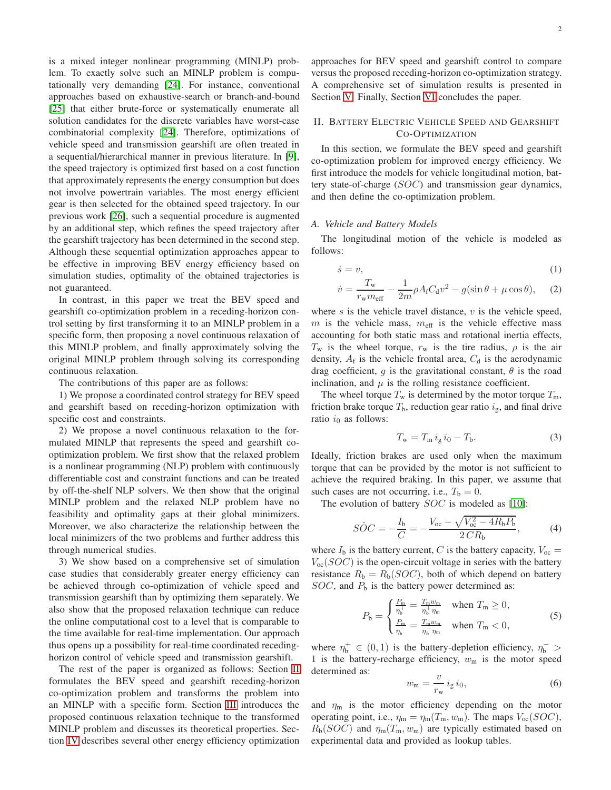is a mixed integer nonlinear programming (MINLP) problem. To exactly solve such an MINLP problem is computationally very demanding [\[24\]](#page-9-15). For instance, conventional approaches based on exhaustive-search or branch-and-bound [\[25\]](#page-9-16) that either brute-force or systematically enumerate all solution candidates for the discrete variables have worst-case combinatorial complexity [\[24\]](#page-9-15). Therefore, optimizations of vehicle speed and transmission gearshift are often treated in a sequential/hierarchical manner in previous literature. In [\[9\]](#page-9-17), the speed trajectory is optimized first based on a cost function that approximately represents the energy consumption but does not involve powertrain variables. The most energy efficient gear is then selected for the obtained speed trajectory. In our previous work [\[26\]](#page-9-18), such a sequential procedure is augmented by an additional step, which refines the speed trajectory after the gearshift trajectory has been determined in the second step. Although these sequential optimization approaches appear to be effective in improving BEV energy efficiency based on simulation studies, optimality of the obtained trajectories is not guaranteed.

In contrast, in this paper we treat the BEV speed and gearshift co-optimization problem in a receding-horizon control setting by first transforming it to an MINLP problem in a specific form, then proposing a novel continuous relaxation of this MINLP problem, and finally approximately solving the original MINLP problem through solving its corresponding continuous relaxation.

The contributions of this paper are as follows:

1) We propose a coordinated control strategy for BEV speed and gearshift based on receding-horizon optimization with specific cost and constraints.

2) We propose a novel continuous relaxation to the formulated MINLP that represents the speed and gearshift cooptimization problem. We first show that the relaxed problem is a nonlinear programming (NLP) problem with continuously differentiable cost and constraint functions and can be treated by off-the-shelf NLP solvers. We then show that the original MINLP problem and the relaxed NLP problem have no feasibility and optimality gaps at their global minimizers. Moreover, we also characterize the relationship between the local minimizers of the two problems and further address this through numerical studies.

3) We show based on a comprehensive set of simulation case studies that considerably greater energy efficiency can be achieved through co-optimization of vehicle speed and transmission gearshift than by optimizing them separately. We also show that the proposed relaxation technique can reduce the online computational cost to a level that is comparable to the time available for real-time implementation. Our approach thus opens up a possibility for real-time coordinated recedinghorizon control of vehicle speed and transmission gearshift.

The rest of the paper is organized as follows: Section [II](#page-1-0) formulates the BEV speed and gearshift receding-horizon co-optimization problem and transforms the problem into an MINLP with a specific form. Section [III](#page-3-0) introduces the proposed continuous relaxation technique to the transformed MINLP problem and discusses its theoretical properties. Section [IV](#page-5-0) describes several other energy efficiency optimization approaches for BEV speed and gearshift control to compare versus the proposed receding-horizon co-optimization strategy. A comprehensive set of simulation results is presented in Section [V.](#page-6-0) Finally, Section [VI](#page-8-0) concludes the paper.

# <span id="page-1-0"></span>II. BATTERY ELECTRIC VEHICLE SPEED AND GEARSHIFT CO-OPTIMIZATION

In this section, we formulate the BEV speed and gearshift co-optimization problem for improved energy efficiency. We first introduce the models for vehicle longitudinal motion, battery state-of-charge (SOC) and transmission gear dynamics, and then define the co-optimization problem.

#### *A. Vehicle and Battery Models*

The longitudinal motion of the vehicle is modeled as follows:

$$
\dot{s} = v,\tag{1}
$$

<span id="page-1-1"></span>
$$
\dot{v} = \frac{T_{\rm w}}{r_{\rm w} m_{\rm eff}} - \frac{1}{2m} \rho A_{\rm f} C_{\rm d} v^2 - g(\sin \theta + \mu \cos \theta), \quad (2)
$$

where  $s$  is the vehicle travel distance,  $v$  is the vehicle speed,  $m$  is the vehicle mass,  $m_{\text{eff}}$  is the vehicle effective mass accounting for both static mass and rotational inertia effects,  $T_w$  is the wheel torque,  $r_w$  is the tire radius,  $\rho$  is the air density,  $A_f$  is the vehicle frontal area,  $C_d$  is the aerodynamic drag coefficient, g is the gravitational constant,  $\theta$  is the road inclination, and  $\mu$  is the rolling resistance coefficient.

The wheel torque  $T_w$  is determined by the motor torque  $T_m$ , friction brake torque  $T<sub>b</sub>$ , reduction gear ratio  $i<sub>g</sub>$ , and final drive ratio  $i_0$  as follows:

<span id="page-1-3"></span>
$$
T_{\rm w} = T_{\rm m} i_{\rm g} i_0 - T_{\rm b}.
$$
 (3)

Ideally, friction brakes are used only when the maximum torque that can be provided by the motor is not sufficient to achieve the required braking. In this paper, we assume that such cases are not occurring, i.e.,  $T<sub>b</sub> = 0$ .

The evolution of battery *SOC* is modeled as [\[10\]](#page-9-4):

<span id="page-1-4"></span>
$$
\dot{SOC} = -\frac{I_{\rm b}}{C} = -\frac{V_{\rm oc} - \sqrt{V_{\rm oc}^2 - 4R_{\rm b}P_{\rm b}}}{2\,CR_{\rm b}},\tag{4}
$$

where  $I_b$  is the battery current, C is the battery capacity,  $V_{oc}$  =  $V_{\text{oc}}(SOC)$  is the open-circuit voltage in series with the battery resistance  $R_b = R_b(SOC)$ , both of which depend on battery  $SOC$ , and  $P<sub>b</sub>$  is the battery power determined as:

$$
P_{\rm b} = \begin{cases} \frac{P_{\rm m}}{\eta_{\rm b}^+} = \frac{T_{\rm m} w_{\rm m}}{\eta_{\rm b}^+ \eta_{\rm m}} & \text{when } T_{\rm m} \ge 0, \\ \frac{P_{\rm m}}{\eta_{\rm b}^-} = \frac{T_{\rm m} w_{\rm m}}{\eta_{\rm b}^- \eta_{\rm m}} & \text{when } T_{\rm m} < 0, \end{cases}
$$
(5)

where  $\eta_b^+ \in (0,1)$  is the battery-depletion efficiency,  $\eta_b^-$  > 1 is the battery-recharge efficiency,  $w<sub>m</sub>$  is the motor speed determined as:

<span id="page-1-2"></span>
$$
w_{\rm m} = \frac{v}{r_{\rm w}} i_{\rm g} i_0, \tag{6}
$$

and  $\eta_m$  is the motor efficiency depending on the motor operating point, i.e.,  $\eta_m = \eta_m(T_m, w_m)$ . The maps  $V_{\text{oc}}(SOC)$ ,  $R_b(SOC)$  and  $\eta_m(T_m, w_m)$  are typically estimated based on experimental data and provided as lookup tables.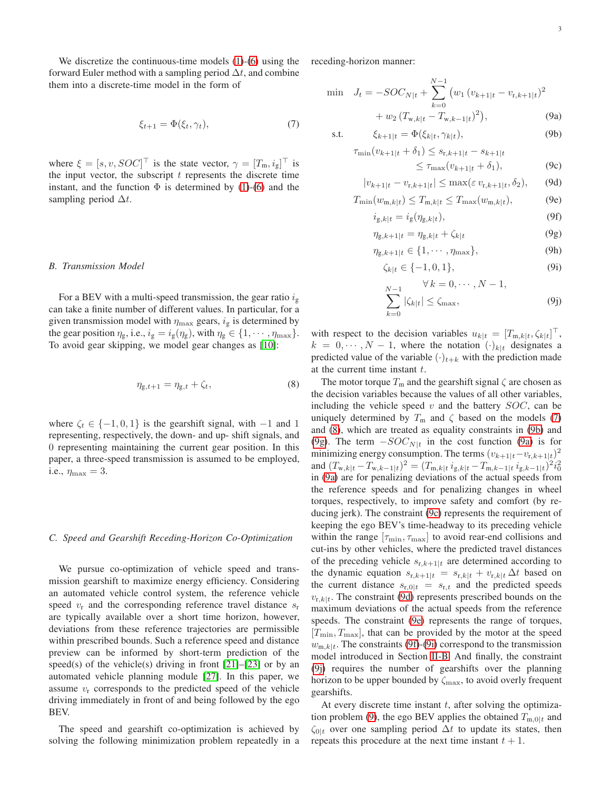We discretize the continuous-time models [\(1\)](#page-1-1)-[\(6\)](#page-1-2) using the forward Euler method with a sampling period  $\Delta t$ , and combine them into a discrete-time model in the form of

<span id="page-2-0"></span>
$$
\xi_{t+1} = \Phi(\xi_t, \gamma_t),\tag{7}
$$

where  $\xi = [s, v, SOC]^\top$  is the state vector,  $\gamma = [T_m, i_g]^\top$  is the input vector, the subscript  $t$  represents the discrete time instant, and the function  $\Phi$  is determined by [\(1\)](#page-1-1)-[\(6\)](#page-1-2) and the sampling period  $\Delta t$ .

#### <span id="page-2-10"></span>*B. Transmission Model*

For a BEV with a multi-speed transmission, the gear ratio  $i_{\rm g}$ can take a finite number of different values. In particular, for a given transmission model with  $\eta_{\text{max}}$  gears,  $i_g$  is determined by the gear position  $\eta_{\rm g}$ , i.e.,  $i_{\rm g} = i_{\rm g}(\eta_{\rm g})$ , with  $\eta_{\rm g} \in \{1, \cdots, \eta_{\rm max}\}.$ To avoid gear skipping, we model gear changes as [\[10\]](#page-9-4):

<span id="page-2-1"></span>
$$
\eta_{g,t+1} = \eta_{g,t} + \zeta_t,\tag{8}
$$

where  $\zeta_t \in \{-1, 0, 1\}$  is the gearshift signal, with  $-1$  and 1 representing, respectively, the down- and up- shift signals, and 0 representing maintaining the current gear position. In this paper, a three-speed transmission is assumed to be employed, i.e.,  $\eta_{\text{max}} = 3$ .

# *C. Speed and Gearshift Receding-Horizon Co-Optimization*

We pursue co-optimization of vehicle speed and transmission gearshift to maximize energy efficiency. Considering an automated vehicle control system, the reference vehicle speed  $v_r$  and the corresponding reference travel distance  $s_r$ are typically available over a short time horizon, however, deviations from these reference trajectories are permissible within prescribed bounds. Such a reference speed and distance preview can be informed by short-term prediction of the speed(s) of the vehicle(s) driving in front  $[21]$ – $[23]$  or by an automated vehicle planning module [\[27\]](#page-9-19). In this paper, we assume  $v_r$  corresponds to the predicted speed of the vehicle driving immediately in front of and being followed by the ego BEV.

The speed and gearshift co-optimization is achieved by solving the following minimization problem repeatedly in a receding-horizon manner:

<span id="page-2-12"></span>
$$
\begin{aligned}\n\min \quad J_t &= -SOC_{N|t} + \sum_{k=0}^{N-1} \left( w_1 \left( v_{k+1|t} - v_{\text{r},k+1|t} \right)^2 \right. \\
&\quad + w_2 \left( T_{\text{w},k|t} - T_{\text{w},k-1|t} \right)^2 \right),\n\end{aligned} \tag{9a}
$$

$$
\text{s.t.} \qquad \xi_{k+1|t} = \Phi(\xi_{k|t}, \gamma_{k|t}), \tag{9b}
$$

$$
\tau_{\min}(v_{k+1|t} + \delta_1) \le s_{r,k+1|t} - s_{k+1|t}
$$

<span id="page-2-8"></span><span id="page-2-7"></span><span id="page-2-6"></span><span id="page-2-5"></span><span id="page-2-4"></span><span id="page-2-3"></span><span id="page-2-2"></span>
$$
\leq \tau_{\max}(v_{k+1|t} + \delta_1),\tag{9c}
$$

$$
|v_{k+1|t} - v_{\mathrm{r},k+1|t}| \le \max(\varepsilon \, v_{\mathrm{r},k+1|t}, \delta_2), \qquad \text{(9d)}
$$

$$
T_{\min}(w_{m,k|t}) \le T_{m,k|t} \le T_{\max}(w_{m,k|t}),\tag{9e}
$$

$$
i_{g,k|t} = i_g(\eta_{g,k|t}),\tag{9f}
$$

$$
\eta_{g,k+1|t} = \eta_{g,k|t} + \zeta_{k|t} \tag{9g}
$$

$$
\eta_{g,k+1|t} \in \{1, \cdots, \eta_{\max}\},\tag{9h}
$$

<span id="page-2-9"></span>
$$
\zeta_{k|t} \in \{-1, 0, 1\},\tag{9i}
$$

<span id="page-2-11"></span>
$$
\sum_{k=0}^{N-1} |\zeta_{k|t}| \le \zeta_{\text{max}}, \tag{9j}
$$

with respect to the decision variables  $u_{k|t} = [T_{m,k|t}, \zeta_{k|t}]^\top$ ,  $k = 0, \dots, N - 1$ , where the notation  $(\cdot)_{k|t}$  designates a predicted value of the variable  $(\cdot)_{t+k}$  with the prediction made at the current time instant  $t$ .

The motor torque  $T_m$  and the gearshift signal  $\zeta$  are chosen as the decision variables because the values of all other variables, including the vehicle speed  $v$  and the battery  $SOC$ , can be uniquely determined by  $T_m$  and  $\zeta$  based on the models [\(7\)](#page-2-0) and [\(8\)](#page-2-1), which are treated as equality constraints in [\(9b\)](#page-2-2) and [\(9g\)](#page-2-3). The term  $-SOC_{N|t}$  in the cost function [\(9a\)](#page-2-4) is for minimizing energy consumption. The terms  $(v_{k+1|t} - v_{r,k+1|t})^2$ and  $(T_{w,k|t} - T_{w,k-1|t})^2 = (T_{m,k|t} i_{g,k|t} - T_{m,k-1|t} i_{g,k-1|t})^2 i_0^2$ in [\(9a\)](#page-2-4) are for penalizing deviations of the actual speeds from the reference speeds and for penalizing changes in wheel torques, respectively, to improve safety and comfort (by reducing jerk). The constraint [\(9c\)](#page-2-5) represents the requirement of keeping the ego BEV's time-headway to its preceding vehicle within the range  $[\tau_{\min}, \tau_{\max}]$  to avoid rear-end collisions and cut-ins by other vehicles, where the predicted travel distances of the preceding vehicle  $s_{r,k+1|t}$  are determined according to the dynamic equation  $s_{r,k+1|t} = s_{r,k|t} + v_{r,k|t} \Delta t$  based on the current distance  $s_{r,0|t} = s_{r,t}$  and the predicted speeds  $v_{\text{r},k|t}$ . The constraint [\(9d\)](#page-2-6) represents prescribed bounds on the maximum deviations of the actual speeds from the reference speeds. The constraint [\(9e\)](#page-2-7) represents the range of torques,  $[T_{\min}, T_{\max}]$ , that can be provided by the motor at the speed  $w_{m,k|t}$ . The constraints [\(9f\)](#page-2-8)-[\(9i\)](#page-2-9) correspond to the transmission model introduced in Section [II-B.](#page-2-10) And finally, the constraint [\(9j\)](#page-2-11) requires the number of gearshifts over the planning horizon to be upper bounded by  $\zeta_{\text{max}}$ , to avoid overly frequent gearshifts.

At every discrete time instant  $t$ , after solving the optimiza-tion problem [\(9\)](#page-2-12), the ego BEV applies the obtained  $T_{m,0|t}$  and  $\zeta_{0|t}$  over one sampling period  $\Delta t$  to update its states, then repeats this procedure at the next time instant  $t + 1$ .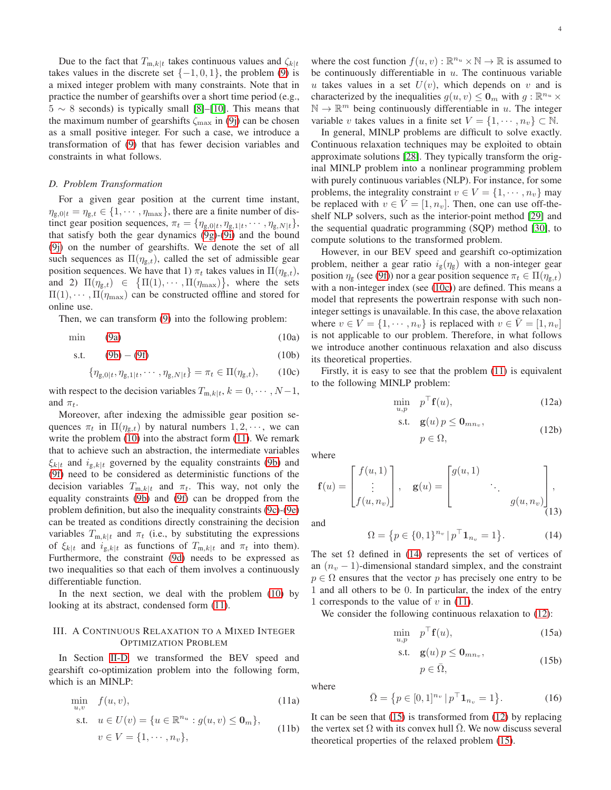Due to the fact that  $T_{m,k|t}$  takes continuous values and  $\zeta_{k|t}$ takes values in the discrete set  $\{-1, 0, 1\}$ , the problem [\(9\)](#page-2-12) is a mixed integer problem with many constraints. Note that in practice the number of gearshifts over a short time period (e.g.,  $5 \sim 8$  seconds) is typically small [\[8\]](#page-9-10)–[\[10\]](#page-9-4). This means that the maximum number of gearshifts  $\zeta_{\text{max}}$  in [\(9j\)](#page-2-11) can be chosen as a small positive integer. For such a case, we introduce a transformation of [\(9\)](#page-2-12) that has fewer decision variables and constraints in what follows.

### <span id="page-3-3"></span>*D. Problem Transformation*

For a given gear position at the current time instant,  $\eta_{g,0|t} = \eta_{g,t} \in \{1, \cdots, \eta_{\text{max}}\},$  there are a finite number of distinct gear position sequences,  $\pi_t = \{\eta_{g,0|t}, \eta_{g,1|t}, \cdots, \eta_{g,N|t}\},\$ that satisfy both the gear dynamics [\(9g\)](#page-2-3)-[\(9i\)](#page-2-9) and the bound [\(9j\)](#page-2-11) on the number of gearshifts. We denote the set of all such sequences as  $\Pi(\eta_{g,t})$ , called the set of admissible gear position sequences. We have that 1)  $\pi_t$  takes values in  $\Pi(\eta_{g,t})$ , and 2)  $\Pi(\eta_{g,t}) \in {\Pi(1), \cdots, \Pi(\eta_{\text{max}})},$  where the sets  $\Pi(1), \cdots, \Pi(\eta_{\text{max}})$  can be constructed offline and stored for online use.

Then, we can transform [\(9\)](#page-2-12) into the following problem:

$$
\min \qquad (9a) \qquad (10a)
$$

s.t. 
$$
(9b) - (9f)
$$
 (10b)

$$
\{\eta_{g,0|t}, \eta_{g,1|t}, \cdots, \eta_{g,N|t}\} = \pi_t \in \Pi(\eta_{g,t}), \qquad (10c)
$$

with respect to the decision variables  $T_{m,k|t}$ ,  $k = 0, \dots, N-1$ , and  $\pi_t$ .

Moreover, after indexing the admissible gear position sequences  $\pi_t$  in  $\Pi(\eta_{g,t})$  by natural numbers  $1, 2, \dots$ , we can write the problem [\(10\)](#page-3-1) into the abstract form [\(11\)](#page-3-2). We remark that to achieve such an abstraction, the intermediate variables  $\xi_{k|t}$  and  $i_{g,k|t}$  governed by the equality constraints [\(9b\)](#page-2-2) and [\(9f\)](#page-2-8) need to be considered as deterministic functions of the decision variables  $T_{m,k|t}$  and  $\pi_t$ . This way, not only the equality constraints [\(9b\)](#page-2-2) and [\(9f\)](#page-2-8) can be dropped from the problem definition, but also the inequality constraints [\(9c\)](#page-2-5)-[\(9e\)](#page-2-7) can be treated as conditions directly constraining the decision variables  $T_{m,k|t}$  and  $\pi_t$  (i.e., by substituting the expressions of  $\xi_{k|t}$  and  $i_{g,k|t}$  as functions of  $T_{m,k|t}$  and  $\pi_t$  into them). Furthermore, the constraint [\(9d\)](#page-2-6) needs to be expressed as two inequalities so that each of them involves a continuously differentiable function.

In the next section, we deal with the problem [\(10\)](#page-3-1) by looking at its abstract, condensed form [\(11\)](#page-3-2).

#### <span id="page-3-0"></span>III. A CONTINUOUS RELAXATION TO A MIXED INTEGER OPTIMIZATION PROBLEM

In Section [II-D,](#page-3-3) we transformed the BEV speed and gearshift co-optimization problem into the following form, which is an MINLP:

<span id="page-3-2"></span>
$$
\min_{u,v} f(u,v),
$$
\n
$$
\text{s.t.} \quad u \in U(v) = \{u \in \mathbb{R}^{n_u} : g(u,v) \le 0_m\},
$$
\n
$$
v \in V = \{1, \cdots, n_v\},
$$
\n
$$
(11b)
$$

where the cost function  $f(u, v) : \mathbb{R}^{n_u} \times \mathbb{N} \to \mathbb{R}$  is assumed to be continuously differentiable in  $u$ . The continuous variable u takes values in a set  $U(v)$ , which depends on v and is characterized by the inequalities  $g(u, v) \leq \mathbf{0}_m$  with  $g : \mathbb{R}^{n_u} \times$  $\mathbb{N} \to \mathbb{R}^m$  being continuously differentiable in u. The integer variable v takes values in a finite set  $V = \{1, \dots, n_v\} \subset \mathbb{N}$ .

In general, MINLP problems are difficult to solve exactly. Continuous relaxation techniques may be exploited to obtain approximate solutions [\[28\]](#page-9-20). They typically transform the original MINLP problem into a nonlinear programming problem with purely continuous variables (NLP). For instance, for some problems, the integrality constraint  $v \in V = \{1, \dots, n_v\}$  may be replaced with  $v \in \overline{V} = [1, n_v]$ . Then, one can use off-theshelf NLP solvers, such as the interior-point method [\[29\]](#page-9-21) and the sequential quadratic programming (SQP) method [\[30\]](#page-9-22), to compute solutions to the transformed problem.

However, in our BEV speed and gearshift co-optimization problem, neither a gear ratio  $i_g(\eta_g)$  with a non-integer gear position  $\eta_{\rm g}$  (see [\(9f\)](#page-2-8)) nor a gear position sequence  $\pi_t \in \Pi(\eta_{\rm g,t})$ with a non-integer index (see [\(10c\)](#page-3-4)) are defined. This means a model that represents the powertrain response with such noninteger settings is unavailable. In this case, the above relaxation where  $v \in V = \{1, \dots, n_v\}$  is replaced with  $v \in \overline{V} = [1, n_v]$ is not applicable to our problem. Therefore, in what follows we introduce another continuous relaxation and also discuss its theoretical properties.

<span id="page-3-4"></span><span id="page-3-1"></span>Firstly, it is easy to see that the problem [\(11\)](#page-3-2) is equivalent to the following MINLP problem:

<span id="page-3-6"></span>
$$
\min_{u,p} \quad p^{\top} \mathbf{f}(u), \tag{12a}
$$

<span id="page-3-9"></span>s.t. 
$$
\mathbf{g}(u) p \leq \mathbf{0}_{mn_v},
$$
  
\n $p \in \Omega,$  (12b)

where

$$
\mathbf{f}(u) = \begin{bmatrix} f(u,1) \\ \vdots \\ f(u,n_v) \end{bmatrix}, \quad \mathbf{g}(u) = \begin{bmatrix} g(u,1) \\ & \ddots \\ & & g(u,n_v) \end{bmatrix}, \quad (13)
$$

and

<span id="page-3-5"></span>
$$
\Omega = \{ p \in \{0, 1\}^{n_v} \, | \, p^\top \mathbf{1}_{n_v} = 1 \}.
$$

The set  $\Omega$  defined in [\(14\)](#page-3-5) represents the set of vertices of an  $(n_v - 1)$ -dimensional standard simplex, and the constraint  $p \in \Omega$  ensures that the vector p has precisely one entry to be 1 and all others to be 0. In particular, the index of the entry 1 corresponds to the value of  $v$  in [\(11\)](#page-3-2).

We consider the following continuous relaxation to  $(12)$ :

$$
\min_{u,p} \quad p^{\top} \mathbf{f}(u), \tag{15a}
$$

$$
\text{s.t.} \quad \mathbf{g}(u) \, p \le \mathbf{0}_{mn_v}, \tag{15b}
$$

<span id="page-3-10"></span><span id="page-3-7"></span>
$$
p \in \bar{\Omega},\tag{15b}
$$

where

<span id="page-3-8"></span>
$$
\bar{\Omega} = \{ p \in [0, 1]^{n_v} \, | \, p^\top \mathbf{1}_{n_v} = 1 \}. \tag{16}
$$

It can be seen that  $(15)$  is transformed from  $(12)$  by replacing the vertex set  $\Omega$  with its convex hull  $\Omega$ . We now discuss several theoretical properties of the relaxed problem [\(15\)](#page-3-7).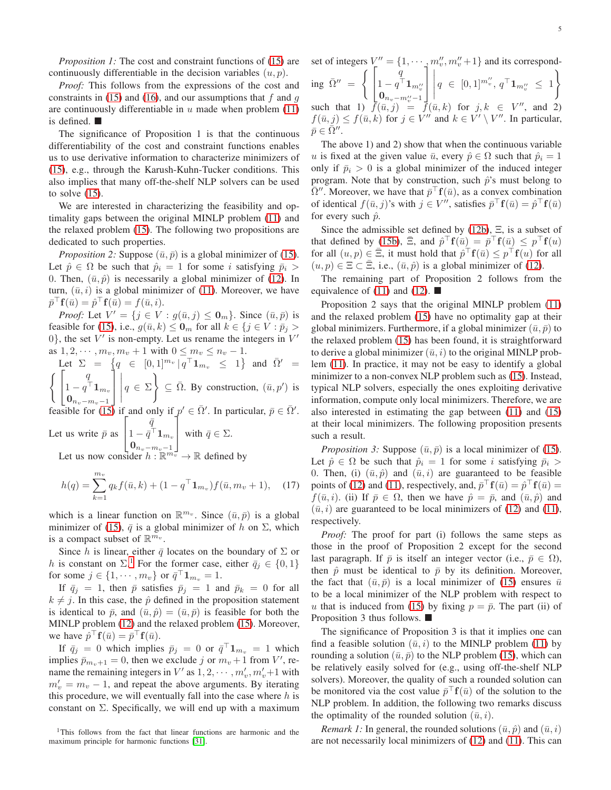*Proposition 1:* The cost and constraint functions of [\(15\)](#page-3-7) are continuously differentiable in the decision variables  $(u, p)$ .

*Proof:* This follows from the expressions of the cost and constraints in [\(15\)](#page-3-7) and [\(16\)](#page-3-8), and our assumptions that f and  $q$ are continuously differentiable in  $u$  made when problem  $(11)$ is defined.

The significance of Proposition 1 is that the continuous differentiability of the cost and constraint functions enables us to use derivative information to characterize minimizers of [\(15\)](#page-3-7), e.g., through the Karush-Kuhn-Tucker conditions. This also implies that many off-the-shelf NLP solvers can be used to solve  $(15)$ .

We are interested in characterizing the feasibility and optimality gaps between the original MINLP problem [\(11\)](#page-3-2) and the relaxed problem [\(15\)](#page-3-7). The following two propositions are dedicated to such properties.

*Proposition 2:* Suppose  $(\bar{u}, \bar{p})$  is a global minimizer of [\(15\)](#page-3-7). Let  $\hat{p} \in \Omega$  be such that  $\hat{p}_i = 1$  for some i satisfying  $\bar{p}_i >$ 0. Then,  $(\bar{u}, \hat{p})$  is necessarily a global minimizer of [\(12\)](#page-3-6). In turn,  $(\bar{u}, i)$  is a global minimizer of [\(11\)](#page-3-2). Moreover, we have  $\bar{p}^\top \mathbf{f}(\bar{u}) = \hat{p}^\top \mathbf{f}(\bar{u}) = f(\bar{u}, i).$ 

*Proof:* Let  $V' = \{j \in V : g(\bar{u}, j) \leq \mathbf{0}_m\}$ . Since  $(\bar{u}, \bar{p})$  is feasible for [\(15\)](#page-3-7), i.e.,  $g(\bar{u}, k) \leq \mathbf{0}_m$  for all  $k \in \{j \in V : \bar{p}_j > \}$ 0}, the set  $V'$  is non-empty. Let us rename the integers in  $V'$ as  $1, 2, \dots, m_v, m_v + 1$  with  $0 \le m_v \le n_v - 1$ .

Let 
$$
\Sigma = \{q \in [0,1]^{m_v} | q^{\top} \mathbf{1}_{m_v} \le 1 \}
$$
 and  $\overline{\Omega}' = \int \left[ \begin{array}{c} q \\ q \end{array} \right]$ 

 $\begin{array}{c} 1 - q^{\top} \mathbf{1}_{m_v} \\ 0 \end{array}$  $\begin{bmatrix} 0 & 1 \\ 0 & 1 \end{bmatrix} m_v \begin{bmatrix} 0 \\ 1 \end{bmatrix}$   $q \in \Sigma$  $\Big\} \subseteq \overline{\Omega}$ . By construction,  $(\overline{u}, p')$  is

feasible for [\(15\)](#page-3-7) if and only if  $p' \in \overline{\Omega}'$ . In particular,  $\overline{p} \in \overline{\Omega}'$ .  $\sqrt{ }$  $\bar{q}$ 1

Let us write  $\bar{p}$  as  $\overline{1}$  $1-\bar{q}^\top \boldsymbol{1}_{m_v}$  $\mathbf{0}_{n_v-m_v-1}$ with  $\bar{q} \in \Sigma$ . Let us now consider  $h : \mathbb{R}^{m_v} \to \mathbb{R}$  defined by

$$
h(q) = \sum_{k=1}^{m_v} q_k f(\bar{u}, k) + (1 - q^{\top} \mathbf{1}_{m_v}) f(\bar{u}, m_v + 1), \quad (17)
$$

which is a linear function on  $\mathbb{R}^{m_v}$ . Since  $(\bar{u}, \bar{p})$  is a global minimizer of [\(15\)](#page-3-7),  $\bar{q}$  is a global minimizer of h on  $\Sigma$ , which is a compact subset of  $\mathbb{R}^{m_v}$ .

Since h is linear, either  $\bar{q}$  locates on the boundary of  $\Sigma$  or h is constant on  $\Sigma$ .<sup>[1](#page-4-0)</sup> For the former case, either  $\bar{q}_j \in \{0, 1\}$ for some  $j \in \{1, \cdots, m_v\}$  or  $\bar{q}^\top \mathbf{1}_{m_v} = 1$ .

If  $\bar{q}_j = 1$ , then  $\bar{p}$  satisfies  $\bar{p}_j = 1$  and  $\bar{p}_k = 0$  for all  $k \neq j$ . In this case, the  $\hat{p}$  defined in the proposition statement is identical to  $\bar{p}$ , and  $(\bar{u}, \hat{p}) = (\bar{u}, \bar{p})$  is feasible for both the MINLP problem [\(12\)](#page-3-6) and the relaxed problem [\(15\)](#page-3-7). Moreover, we have  $\hat{p}^\top \mathbf{f}(\bar{u}) = \bar{p}^\top \mathbf{f}(\bar{u})$ .

If  $\bar{q}_j = 0$  which implies  $\bar{p}_j = 0$  or  $\bar{q}^\top \mathbf{1}_{m_v} = 1$  which implies  $\bar{p}_{m_v+1} = 0$ , then we exclude j or  $m_v + 1$  from V', rename the remaining integers in  $V'$  as  $1, 2, \dots, m'_v, m'_v + 1$  with  $m'_v = m_v - 1$ , and repeat the above arguments. By iterating this procedure, we will eventually fall into the case where  $h$  is constant on  $\Sigma$ . Specifically, we will end up with a maximum

<span id="page-4-0"></span><sup>1</sup>This follows from the fact that linear functions are harmonic and the maximum principle for harmonic functions [\[31\]](#page-9-23).

set of integers  $V'' = \{1, \dots, m''_v, m''_v + 1\}$  and its corresponding  $\bar{\Omega}'' =$  $\lceil$  $\overline{1}$ q  $1-q^{\top} \mathbf{1}_{m''_v}$ <br>  $\mathbf{0}_{n_v-m''_v-1}$ 1  $\overline{1}$  $\begin{array}{c}\n\hline\n\end{array}$  $q \in [0,1]^{m''_v}, q^{\top} \mathbf{1}_{m''_v} \leq 1$  $\mathcal{L}$ such that 1)  $\bar{f}(\bar{u},j) = \bar{f}(\bar{u},k)$  for  $j, k \in V''$ , and 2)  $f(\bar{u}, j) \le f(\bar{u}, k)$  for  $j \in V''$  and  $k \in V' \setminus V''$ . In particular,  $\bar{p}\in \bar{\Omega}''$  .

The above 1) and 2) show that when the continuous variable u is fixed at the given value  $\bar{u}$ , every  $\hat{p} \in \Omega$  such that  $\hat{p}_i = 1$ only if  $\bar{p}_i > 0$  is a global minimizer of the induced integer program. Note that by construction, such  $\hat{p}$ 's must belong to  $\overline{\Omega}''$ . Moreover, we have that  $\overline{p}^{\top}f(\overline{u})$ , as a convex combination of identical  $f(\bar{u}, j)$ 's with  $j \in V''$ , satisfies  $\bar{p}^\top \mathbf{f}(\bar{u}) = \hat{p}^\top \mathbf{f}(\bar{u})$ for every such  $\hat{p}$ .

Since the admissible set defined by [\(12b\)](#page-3-9), Ξ, is a subset of that defined by [\(15b\)](#page-3-10),  $\bar{\Xi}$ , and  $\hat{p}^\top \mathbf{f}(\bar{u}) = \bar{p}^\top \mathbf{f}(\bar{u}) \leq p^\top \mathbf{f}(u)$ for all  $(u, p) \in \bar{\Xi}$ , it must hold that  $\hat{p}^\top \mathbf{f}(\bar{u}) \leq p^\top \mathbf{f}(u)$  for all  $(u, p) \in \Xi \subset \Xi$ , i.e.,  $(\bar{u}, \hat{p})$  is a global minimizer of [\(12\)](#page-3-6).

The remaining part of Proposition 2 follows from the equivalence of [\(11\)](#page-3-2) and [\(12\)](#page-3-6).  $\blacksquare$ 

Proposition 2 says that the original MINLP problem [\(11\)](#page-3-2) and the relaxed problem [\(15\)](#page-3-7) have no optimality gap at their global minimizers. Furthermore, if a global minimizer  $(\bar{u}, \bar{p})$  to the relaxed problem [\(15\)](#page-3-7) has been found, it is straightforward to derive a global minimizer  $(\bar{u}, i)$  to the original MINLP problem [\(11\)](#page-3-2). In practice, it may not be easy to identify a global minimizer to a non-convex NLP problem such as [\(15\)](#page-3-7). Instead, typical NLP solvers, especially the ones exploiting derivative information, compute only local minimizers. Therefore, we are also interested in estimating the gap between [\(11\)](#page-3-2) and [\(15\)](#page-3-7) at their local minimizers. The following proposition presents such a result.

*Proposition 3:* Suppose  $(\bar{u}, \bar{p})$  is a local minimizer of [\(15\)](#page-3-7). Let  $\hat{p} \in \Omega$  be such that  $\hat{p}_i = 1$  for some i satisfying  $\bar{p}_i >$ 0. Then, (i)  $(\bar{u}, \hat{p})$  and  $(\bar{u}, i)$  are guaranteed to be feasible points of [\(12\)](#page-3-6) and [\(11\)](#page-3-2), respectively, and,  $\bar{p}^\top \mathbf{f}(\bar{u}) = \hat{p}^\top \mathbf{f}(\bar{u}) =$  $f(\bar{u}, i)$ . (ii) If  $\bar{p} \in \Omega$ , then we have  $\hat{p} = \bar{p}$ , and  $(\bar{u}, \hat{p})$  and  $(\bar{u}, i)$  are guaranteed to be local minimizers of [\(12\)](#page-3-6) and [\(11\)](#page-3-2), respectively.

*Proof:* The proof for part (i) follows the same steps as those in the proof of Proposition 2 except for the second last paragraph. If  $\bar{p}$  is itself an integer vector (i.e.,  $\bar{p} \in \Omega$ ), then  $\hat{p}$  must be identical to  $\bar{p}$  by its definition. Moreover, the fact that  $(\bar{u}, \bar{p})$  is a local minimizer of [\(15\)](#page-3-7) ensures  $\bar{u}$ to be a local minimizer of the NLP problem with respect to u that is induced from [\(15\)](#page-3-7) by fixing  $p = \bar{p}$ . The part (ii) of Proposition 3 thus follows.

The significance of Proposition 3 is that it implies one can find a feasible solution  $(\bar{u}, i)$  to the MINLP problem [\(11\)](#page-3-2) by rounding a solution  $(\bar{u}, \bar{p})$  to the NLP problem [\(15\)](#page-3-7), which can be relatively easily solved for (e.g., using off-the-shelf NLP solvers). Moreover, the quality of such a rounded solution can be monitored via the cost value  $\bar{p}^\top f(\bar{u})$  of the solution to the NLP problem. In addition, the following two remarks discuss the optimality of the rounded solution  $(\bar{u}, i)$ .

*Remark 1:* In general, the rounded solutions  $(\bar{u}, \hat{p})$  and  $(\bar{u}, i)$ are not necessarily local minimizers of [\(12\)](#page-3-6) and [\(11\)](#page-3-2). This can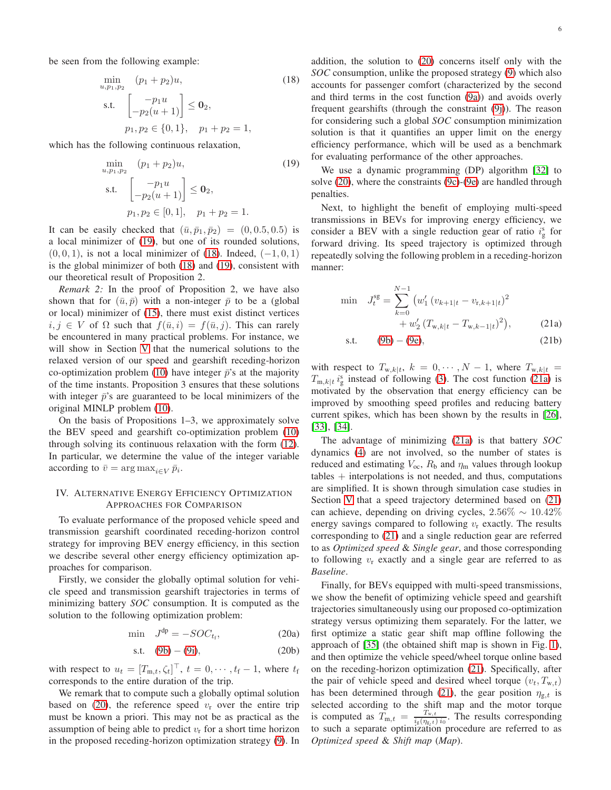be seen from the following example:

$$
\min_{u, p_1, p_2} (p_1 + p_2)u,
$$
\n
$$
\text{s.t.} \quad\n\begin{bmatrix}\n-p_1 u \\
-p_2(u+1)\n\end{bmatrix} \leq \mathbf{0}_2,
$$
\n
$$
p_1, p_2 \in \{0, 1\}, \quad p_1 + p_2 = 1,
$$
\n(18)

which has the following continuous relaxation,

$$
\min_{u, p_1, p_2} (p_1 + p_2)u,
$$
\n
$$
\text{s.t.} \begin{bmatrix} -p_1 u \\ -p_2(u+1) \end{bmatrix} \le \mathbf{0}_2,
$$
\n
$$
p_1, p_2 \in [0, 1], \quad p_1 + p_2 = 1.
$$
\n
$$
(19)
$$

It can be easily checked that  $(\bar{u}, \bar{p}_1, \bar{p}_2) = (0, 0.5, 0.5)$  is a local minimizer of [\(19\)](#page-5-1), but one of its rounded solutions,  $(0, 0, 1)$ , is not a local minimizer of [\(18\)](#page-5-2). Indeed,  $(-1, 0, 1)$ is the global minimizer of both [\(18\)](#page-5-2) and [\(19\)](#page-5-1), consistent with our theoretical result of Proposition 2.

*Remark 2:* In the proof of Proposition 2, we have also shown that for  $(\bar{u}, \bar{p})$  with a non-integer  $\bar{p}$  to be a (global or local) minimizer of [\(15\)](#page-3-7), there must exist distinct vertices  $i, j \in V$  of  $\Omega$  such that  $f(\bar{u}, i) = f(\bar{u}, j)$ . This can rarely be encountered in many practical problems. For instance, we will show in Section [V](#page-6-0) that the numerical solutions to the relaxed version of our speed and gearshift receding-horizon co-optimization problem [\(10\)](#page-3-1) have integer  $\bar{p}$ 's at the majority of the time instants. Proposition 3 ensures that these solutions with integer  $\bar{p}$ 's are guaranteed to be local minimizers of the original MINLP problem [\(10\)](#page-3-1).

On the basis of Propositions 1–3, we approximately solve the BEV speed and gearshift co-optimization problem [\(10\)](#page-3-1) through solving its continuous relaxation with the form [\(12\)](#page-3-6). In particular, we determine the value of the integer variable according to  $\bar{v} = \arg \max_{i \in V} \bar{p}_i$ .

# <span id="page-5-0"></span>IV. ALTERNATIVE ENERGY EFFICIENCY OPTIMIZATION APPROACHES FOR COMPARISON

To evaluate performance of the proposed vehicle speed and transmission gearshift coordinated receding-horizon control strategy for improving BEV energy efficiency, in this section we describe several other energy efficiency optimization approaches for comparison.

Firstly, we consider the globally optimal solution for vehicle speed and transmission gearshift trajectories in terms of minimizing battery *SOC* consumption. It is computed as the solution to the following optimization problem:

$$
\min \quad J^{\text{dp}} = -SOC_{t_{\text{f}}},\tag{20a}
$$

s.t. 
$$
(9b) - (9i)
$$
,  $(20b)$ 

with respect to  $u_t = [T_{m,t}, \zeta_t]^\top$ ,  $t = 0, \dots, t_f - 1$ , where  $t_f$ corresponds to the entire duration of the trip.

We remark that to compute such a globally optimal solution based on [\(20\)](#page-5-3), the reference speed  $v_r$  over the entire trip must be known a priori. This may not be as practical as the assumption of being able to predict  $v_r$  for a short time horizon in the proposed receding-horizon optimization strategy [\(9\)](#page-2-12). In <span id="page-5-2"></span>addition, the solution to [\(20\)](#page-5-3) concerns itself only with the *SOC* consumption, unlike the proposed strategy [\(9\)](#page-2-12) which also accounts for passenger comfort (characterized by the second and third terms in the cost function [\(9a\)](#page-2-4)) and avoids overly frequent gearshifts (through the constraint [\(9j\)](#page-2-11)). The reason for considering such a global *SOC* consumption minimization solution is that it quantifies an upper limit on the energy efficiency performance, which will be used as a benchmark for evaluating performance of the other approaches.

<span id="page-5-1"></span>We use a dynamic programming (DP) algorithm [\[32\]](#page-9-24) to solve [\(20\)](#page-5-3), where the constraints [\(9c\)](#page-2-5)-[\(9e\)](#page-2-7) are handled through penalties.

Next, to highlight the benefit of employing multi-speed transmissions in BEVs for improving energy efficiency, we consider a BEV with a single reduction gear of ratio  $i_{\rm g}^{\rm s}$  for forward driving. Its speed trajectory is optimized through repeatedly solving the following problem in a receding-horizon manner:

<span id="page-5-5"></span>
$$
\min \quad J_t^{\text{sg}} = \sum_{k=0}^{N-1} \left( w_1' \left( v_{k+1|t} - v_{\text{r},k+1|t} \right)^2 + w_2' \left( T_{\text{w},k|t} - T_{\text{w},k-1|t} \right)^2 \right), \tag{21a}
$$

<span id="page-5-4"></span>s.t. 
$$
(9b) - (9e)
$$
,  $(21b)$ 

with respect to  $T_{w,k|t}$ ,  $k = 0, \dots, N-1$ , where  $T_{w,k|t} =$  $T_{m,k|t} i_{g}^{s}$  instead of following [\(3\)](#page-1-3). The cost function [\(21a\)](#page-5-4) is motivated by the observation that energy efficiency can be improved by smoothing speed profiles and reducing battery current spikes, which has been shown by the results in [\[26\]](#page-9-18), [\[33\]](#page-9-25), [\[34\]](#page-9-26).

The advantage of minimizing [\(21a\)](#page-5-4) is that battery *SOC* dynamics [\(4\)](#page-1-4) are not involved, so the number of states is reduced and estimating  $V_{\text{oc}}$ ,  $R_{\text{b}}$  and  $\eta_{\text{m}}$  values through lookup  $tables + interpolations is not needed, and thus, computations$ are simplified. It is shown through simulation case studies in Section [V](#page-6-0) that a speed trajectory determined based on [\(21\)](#page-5-5) can achieve, depending on driving cycles,  $2.56\% \sim 10.42\%$ energy savings compared to following  $v_r$  exactly. The results corresponding to [\(21\)](#page-5-5) and a single reduction gear are referred to as *Optimized speed* & *Single gear*, and those corresponding to following  $v_r$  exactly and a single gear are referred to as *Baseline*.

<span id="page-5-3"></span>Finally, for BEVs equipped with multi-speed transmissions, we show the benefit of optimizing vehicle speed and gearshift trajectories simultaneously using our proposed co-optimization strategy versus optimizing them separately. For the latter, we first optimize a static gear shift map offline following the approach of [\[35\]](#page-9-27) (the obtained shift map is shown in Fig. [1\)](#page-6-1), and then optimize the vehicle speed/wheel torque online based on the receding-horizon optimization [\(21\)](#page-5-5). Specifically, after the pair of vehicle speed and desired wheel torque  $(v_t, T_{w,t})$ has been determined through [\(21\)](#page-5-5), the gear position  $\eta_{g,t}$  is selected according to the shift map and the motor torque is computed as  $T_{m,t} = \frac{T_{w,t}}{i_s (n_s + t)}$  $\frac{1_{w,t}}{i_g(\eta_{g,t})}$  i<sub>0</sub>. The results corresponding to such a separate optimization procedure are referred to as *Optimized speed* & *Shift map* (*Map*).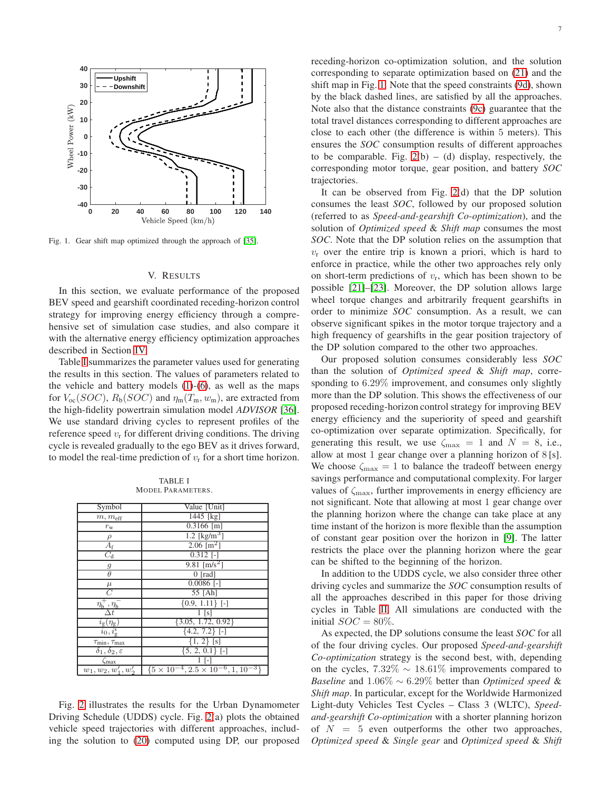

<span id="page-6-1"></span><span id="page-6-0"></span>Fig. 1. Gear shift map optimized through the approach of [\[35\]](#page-9-27).

#### V. RESULTS

In this section, we evaluate performance of the proposed BEV speed and gearshift coordinated receding-horizon control strategy for improving energy efficiency through a comprehensive set of simulation case studies, and also compare it with the alternative energy efficiency optimization approaches described in Section [IV.](#page-5-0)

Table [I](#page-6-2) summarizes the parameter values used for generating the results in this section. The values of parameters related to the vehicle and battery models  $(1)-(6)$  $(1)-(6)$  $(1)-(6)$ , as well as the maps for  $V_{\text{oc}}(SOC)$ ,  $R_{\text{b}}(SOC)$  and  $\eta_{\text{m}}(T_{\text{m}}, w_{\text{m}})$ , are extracted from the high-fidelity powertrain simulation model *ADVISOR* [\[36\]](#page-9-28). We use standard driving cycles to represent profiles of the reference speed  $v_r$  for different driving conditions. The driving cycle is revealed gradually to the ego BEV as it drives forward, to model the real-time prediction of  $v_r$  for a short time horizon.

| <b>TABLE I</b>           |  |  |  |  |  |  |  |
|--------------------------|--|--|--|--|--|--|--|
| <b>MODEL PARAMETERS.</b> |  |  |  |  |  |  |  |

<span id="page-6-2"></span>

|                                                                       | Value [Unit]                                           |
|-----------------------------------------------------------------------|--------------------------------------------------------|
| Symbol                                                                |                                                        |
| $m, m$ <sub>eff</sub>                                                 | $1445$ [kg]                                            |
| $r_{\rm w}$                                                           | $0.3166$ [m]                                           |
| $\rho$                                                                | 1.2 [ $\text{kg/m}^3$ ]                                |
| $A_{\rm f}$                                                           | 2.06 [m <sup>2</sup> ]                                 |
| $C_{\rm d}$                                                           | $\overline{0.312}$ [-]                                 |
| $\frac{g}{\theta}$                                                    | 9.81 [m/s <sup>2</sup> ]                               |
|                                                                       | $0$ [rad]                                              |
|                                                                       | $0.0086$ [-]                                           |
|                                                                       | 55 [Ah]                                                |
| $\eta_{\mathsf{h}}^{\mp}$ , $\eta_{\mathsf{h}}^{\mp}$                 | ${0.9, 1.11}$ [-]                                      |
| $\Delta t$                                                            | 1 <sub>[s]</sub>                                       |
| $\frac{i_{\text{g}}(\eta_{\text{g}})}{i_{0},i_{\text{g}}^{\text{s}}}$ | $\{3.05, 1.72, 0.92\}$                                 |
|                                                                       | $\{4.2, 7.2\}$ [-]                                     |
| $\tau_{\min}, \tau_{\max}$                                            | $\{1, 2\}$ [s]                                         |
| $\delta_1, \delta_2, \varepsilon$                                     | $\{5, 2, 0.1\}$ [-]                                    |
| Cmax                                                                  |                                                        |
| $w_1, w_2, w'_1, w'_2$                                                | $\{5 \times 10^{-4}, 2.5 \times 10^{-6}, 1, 10^{-3}\}$ |

Fig. [2](#page-7-0) illustrates the results for the Urban Dynamometer Driving Schedule (UDDS) cycle. Fig. [2\(](#page-7-0)a) plots the obtained vehicle speed trajectories with different approaches, including the solution to [\(20\)](#page-5-3) computed using DP, our proposed receding-horizon co-optimization solution, and the solution corresponding to separate optimization based on [\(21\)](#page-5-5) and the shift map in Fig. [1.](#page-6-1) Note that the speed constraints [\(9d\)](#page-2-6), shown by the black dashed lines, are satisfied by all the approaches. Note also that the distance constraints [\(9c\)](#page-2-5) guarantee that the total travel distances corresponding to different approaches are close to each other (the difference is within 5 meters). This ensures the *SOC* consumption results of different approaches to be comparable. Fig.  $2(b) - (d)$  display, respectively, the corresponding motor torque, gear position, and battery *SOC* trajectories.

It can be observed from Fig. [2\(](#page-7-0)d) that the DP solution consumes the least *SOC*, followed by our proposed solution (referred to as *Speed-and-gearshift Co-optimization*), and the solution of *Optimized speed* & *Shift map* consumes the most *SOC*. Note that the DP solution relies on the assumption that  $v_r$  over the entire trip is known a priori, which is hard to enforce in practice, while the other two approaches rely only on short-term predictions of  $v_r$ , which has been shown to be possible [\[21\]](#page-9-13)–[\[23\]](#page-9-14). Moreover, the DP solution allows large wheel torque changes and arbitrarily frequent gearshifts in order to minimize *SOC* consumption. As a result, we can observe significant spikes in the motor torque trajectory and a high frequency of gearshifts in the gear position trajectory of the DP solution compared to the other two approaches.

Our proposed solution consumes considerably less *SOC* than the solution of *Optimized speed* & *Shift map*, corresponding to 6.29% improvement, and consumes only slightly more than the DP solution. This shows the effectiveness of our proposed receding-horizon control strategy for improving BEV energy efficiency and the superiority of speed and gearshift co-optimization over separate optimization. Specifically, for generating this result, we use  $\zeta_{\text{max}} = 1$  and  $N = 8$ , i.e., allow at most 1 gear change over a planning horizon of 8 [s]. We choose  $\zeta_{\text{max}} = 1$  to balance the tradeoff between energy savings performance and computational complexity. For larger values of  $\zeta_{\text{max}}$ , further improvements in energy efficiency are not significant. Note that allowing at most 1 gear change over the planning horizon where the change can take place at any time instant of the horizon is more flexible than the assumption of constant gear position over the horizon in [\[9\]](#page-9-17). The latter restricts the place over the planning horizon where the gear can be shifted to the beginning of the horizon.

In addition to the UDDS cycle, we also consider three other driving cycles and summarize the *SOC* consumption results of all the approaches described in this paper for those driving cycles in Table [II.](#page-7-1) All simulations are conducted with the initial  $SOC = 80\%$ .

As expected, the DP solutions consume the least *SOC* for all of the four driving cycles. Our proposed *Speed-and-gearshift Co-optimization* strategy is the second best, with, depending on the cycles,  $7.32\% \sim 18.61\%$  improvements compared to *Baseline* and 1.06% ∼ 6.29% better than *Optimized speed* & *Shift map*. In particular, except for the Worldwide Harmonized Light-duty Vehicles Test Cycles – Class 3 (WLTC), *Speedand-gearshift Co-optimization* with a shorter planning horizon of  $N = 5$  even outperforms the other two approaches, *Optimized speed* & *Single gear* and *Optimized speed* & *Shift*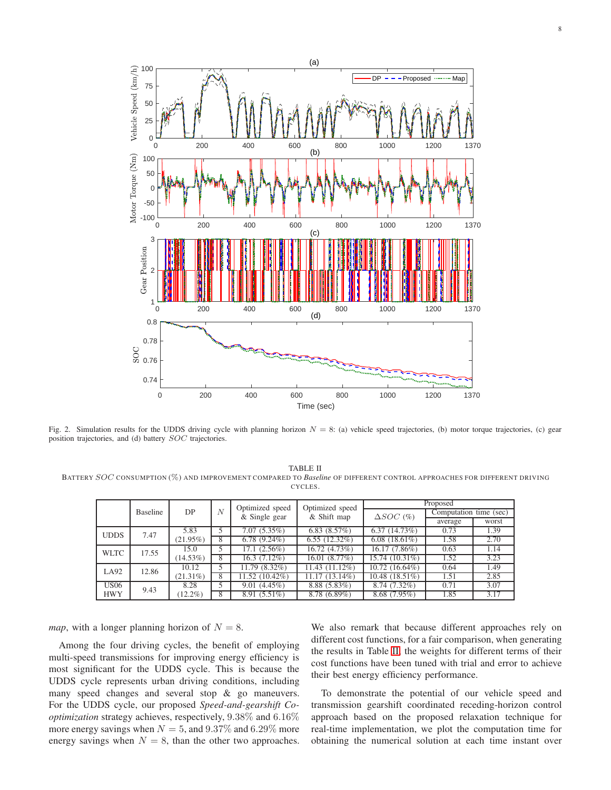

<span id="page-7-0"></span>Fig. 2. Simulation results for the UDDS driving cycle with planning horizon  $N = 8$ : (a) vehicle speed trajectories, (b) motor torque trajectories, (c) gear position trajectories, and (d) battery SOC trajectories.

<span id="page-7-1"></span>TABLE II BATTERY SOC CONSUMPTION (%) AND IMPROVEMENT COMPARED TO *Baseline* OF DIFFERENT CONTROL APPROACHES FOR DIFFERENT DRIVING CYCLES.

|             |          |             |   | Optimized speed | Optimized speed | Proposed            |                        |       |
|-------------|----------|-------------|---|-----------------|-----------------|---------------------|------------------------|-------|
|             | Baseline | DP          | N | & Single gear   | & Shift map     | $\triangle SOC$ (%) | Computation time (sec) |       |
|             |          |             |   |                 |                 |                     | average                | worst |
| <b>UDDS</b> | 7.47     | 5.83        |   | 7.07(5.35%)     | 6.83(8.57%)     | 6.37(14.73%)        | 0.73                   | 1.39  |
|             |          | $(21.95\%)$ | 8 | $6.78(9.24\%)$  | $6.55(12.32\%)$ | $6.08(18.61\%)$     | 1.58                   | 2.70  |
| <b>WLTC</b> | 17.55    | 15.0        | 5 | $17.1(2.56\%)$  | 16.72 (4.73%)   | 16.17 (7.86%)       | 0.63                   | 1.14  |
|             |          | $(14.53\%)$ | 8 | $16.3(7.12\%)$  | 16.01 (8.77%)   | 15.74 (10.31%)      | 1.52                   | 3.23  |
| LA92        | 12.86    | 10.12       |   | 11.79 (8.32%)   | 11.43 (11.12%)  | $10.72(16.64\%)$    | 0.64                   | 1.49  |
|             |          | $(21.31\%)$ | 8 | 11.52 (10.42%)  | 11.17 (13.14%)  | 10.48(18.51%)       | 1.51                   | 2.85  |
| <b>US06</b> | 9.43     | 8.28        | 5 | 9.01(4.45%)     | $8.88(5.83\%)$  | 8.74 (7.32%)        | 0.71                   | 3.07  |
| <b>HWY</b>  |          | $(12.2\%)$  | 8 | $8.91(5.51\%)$  | $8.78(6.89\%)$  | $8.68(7.95\%)$      | 1.85                   | 3.17  |

*map*, with a longer planning horizon of  $N = 8$ .

Among the four driving cycles, the benefit of employing multi-speed transmissions for improving energy efficiency is most significant for the UDDS cycle. This is because the UDDS cycle represents urban driving conditions, including many speed changes and several stop & go maneuvers. For the UDDS cycle, our proposed *Speed-and-gearshift Cooptimization* strategy achieves, respectively, 9.38% and 6.16% more energy savings when  $N = 5$ , and  $9.37\%$  and  $6.29\%$  more energy savings when  $N = 8$ , than the other two approaches.

We also remark that because different approaches rely on different cost functions, for a fair comparison, when generating the results in Table [II,](#page-7-1) the weights for different terms of their cost functions have been tuned with trial and error to achieve their best energy efficiency performance.

To demonstrate the potential of our vehicle speed and transmission gearshift coordinated receding-horizon control approach based on the proposed relaxation technique for real-time implementation, we plot the computation time for obtaining the numerical solution at each time instant over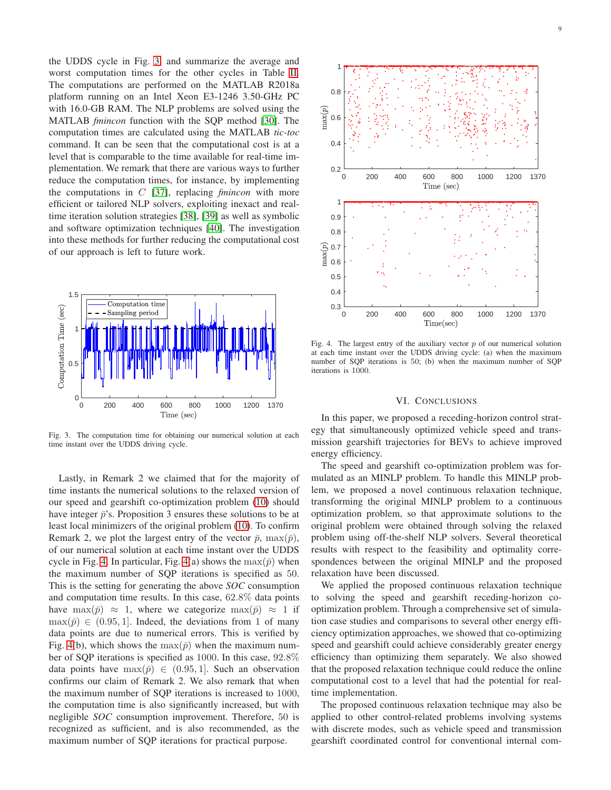the UDDS cycle in Fig. [3,](#page-8-1) and summarize the average and worst computation times for the other cycles in Table [II.](#page-7-1) The computations are performed on the MATLAB R2018a platform running on an Intel Xeon E3-1246 3.50-GHz PC with 16.0-GB RAM. The NLP problems are solved using the MATLAB *fmincon* function with the SQP method [\[30\]](#page-9-22). The computation times are calculated using the MATLAB *tic-toc* command. It can be seen that the computational cost is at a level that is comparable to the time available for real-time implementation. We remark that there are various ways to further reduce the computation times, for instance, by implementing the computations in C [\[37\]](#page-9-29), replacing *fmincon* with more efficient or tailored NLP solvers, exploiting inexact and realtime iteration solution strategies [\[38\]](#page-9-30), [\[39\]](#page-9-31) as well as symbolic and software optimization techniques [\[40\]](#page-9-32). The investigation into these methods for further reducing the computational cost of our approach is left to future work.



<span id="page-8-1"></span>Fig. 3. The computation time for obtaining our numerical solution at each time instant over the UDDS driving cycle.

Lastly, in Remark 2 we claimed that for the majority of time instants the numerical solutions to the relaxed version of our speed and gearshift co-optimization problem [\(10\)](#page-3-1) should have integer  $\bar{p}$ 's. Proposition 3 ensures these solutions to be at least local minimizers of the original problem [\(10\)](#page-3-1). To confirm Remark 2, we plot the largest entry of the vector  $\bar{p}$ ,  $\max(\bar{p})$ , of our numerical solution at each time instant over the UDDS cycle in Fig. [4.](#page-8-2) In particular, Fig. [4\(](#page-8-2)a) shows the  $\max(\bar{p})$  when the maximum number of SQP iterations is specified as 50. This is the setting for generating the above *SOC* consumption and computation time results. In this case, 62.8% data points have max $(\bar{p}) \approx 1$ , where we categorize max $(\bar{p}) \approx 1$  if  $\max(\bar{p}) \in (0.95, 1]$ . Indeed, the deviations from 1 of many data points are due to numerical errors. This is verified by Fig. [4\(](#page-8-2)b), which shows the  $\max(\bar{p})$  when the maximum number of SQP iterations is specified as 1000. In this case, 92.8% data points have  $\max(\bar{p}) \in (0.95, 1]$ . Such an observation confirms our claim of Remark 2. We also remark that when the maximum number of SQP iterations is increased to 1000, the computation time is also significantly increased, but with negligible *SOC* consumption improvement. Therefore, 50 is recognized as sufficient, and is also recommended, as the maximum number of SQP iterations for practical purpose.



<span id="page-8-2"></span>Fig. 4. The largest entry of the auxiliary vector  $p$  of our numerical solution at each time instant over the UDDS driving cycle: (a) when the maximum number of SQP iterations is 50; (b) when the maximum number of SQP iterations is 1000.

# VI. CONCLUSIONS

<span id="page-8-0"></span>In this paper, we proposed a receding-horizon control strategy that simultaneously optimized vehicle speed and transmission gearshift trajectories for BEVs to achieve improved energy efficiency.

The speed and gearshift co-optimization problem was formulated as an MINLP problem. To handle this MINLP problem, we proposed a novel continuous relaxation technique, transforming the original MINLP problem to a continuous optimization problem, so that approximate solutions to the original problem were obtained through solving the relaxed problem using off-the-shelf NLP solvers. Several theoretical results with respect to the feasibility and optimality correspondences between the original MINLP and the proposed relaxation have been discussed.

We applied the proposed continuous relaxation technique to solving the speed and gearshift receding-horizon cooptimization problem. Through a comprehensive set of simulation case studies and comparisons to several other energy efficiency optimization approaches, we showed that co-optimizing speed and gearshift could achieve considerably greater energy efficiency than optimizing them separately. We also showed that the proposed relaxation technique could reduce the online computational cost to a level that had the potential for realtime implementation.

The proposed continuous relaxation technique may also be applied to other control-related problems involving systems with discrete modes, such as vehicle speed and transmission gearshift coordinated control for conventional internal com